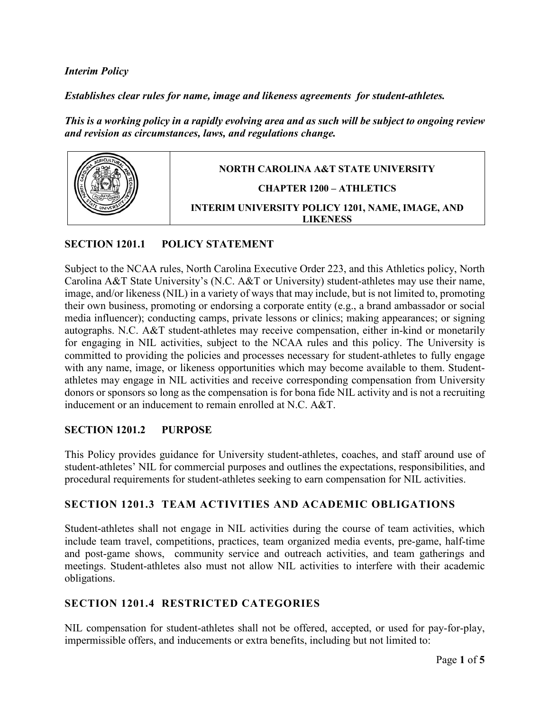#### *Interim Policy*

*Establishes clear rules for name, image and likeness agreements for student-athletes.* 

*This is a working policy in a rapidly evolving area and as such will be subject to ongoing review and revision as circumstances, laws, and regulations change.* 



#### **SECTION 1201.1 POLICY STATEMENT**

Subject to the NCAA rules, North Carolina Executive Order 223, and this Athletics policy, North Carolina A&T State University's (N.C. A&T or University) student-athletes may use their name, image, and/or likeness (NIL) in a variety of ways that may include, but is not limited to, promoting their own business, promoting or endorsing a corporate entity (e.g., a brand ambassador or social media influencer); conducting camps, private lessons or clinics; making appearances; or signing autographs. N.C. A&T student-athletes may receive compensation, either in-kind or monetarily for engaging in NIL activities, subject to the NCAA rules and this policy. The University is committed to providing the policies and processes necessary for student-athletes to fully engage with any name, image, or likeness opportunities which may become available to them. Studentathletes may engage in NIL activities and receive corresponding compensation from University donors or sponsors so long as the compensation is for bona fide NIL activity and is not a recruiting inducement or an inducement to remain enrolled at N.C. A&T.

#### **SECTION 1201.2 PURPOSE**

This Policy provides guidance for University student-athletes, coaches, and staff around use of student-athletes' NIL for commercial purposes and outlines the expectations, responsibilities, and procedural requirements for student-athletes seeking to earn compensation for NIL activities.

#### **SECTION 1201.3 TEAM ACTIVITIES AND ACADEMIC OBLIGATIONS**

Student-athletes shall not engage in NIL activities during the course of team activities, which include team travel, competitions, practices, team organized media events, pre-game, half-time and post-game shows, community service and outreach activities, and team gatherings and meetings. Student-athletes also must not allow NIL activities to interfere with their academic obligations.

### **SECTION 1201.4 RESTRICTED CATEGORIES**

NIL compensation for student-athletes shall not be offered, accepted, or used for pay-for-play, impermissible offers, and inducements or extra benefits, including but not limited to: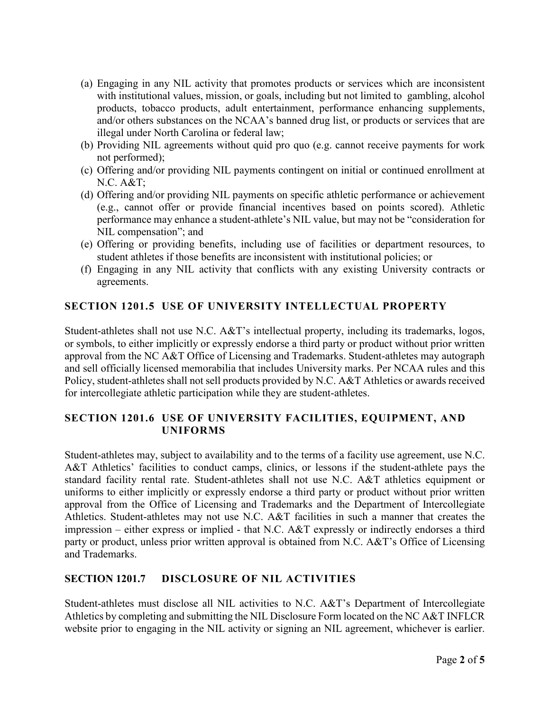- (a) Engaging in any NIL activity that promotes products or services which are inconsistent with institutional values, mission, or goals, including but not limited to gambling, alcohol products, tobacco products, adult entertainment, performance enhancing supplements, and/or others substances on the NCAA's banned drug list, or products or services that are illegal under North Carolina or federal law;
- (b) Providing NIL agreements without quid pro quo (e.g. cannot receive payments for work not performed);
- (c) Offering and/or providing NIL payments contingent on initial or continued enrollment at N.C. A&T;
- (d) Offering and/or providing NIL payments on specific athletic performance or achievement (e.g., cannot offer or provide financial incentives based on points scored). Athletic performance may enhance a student-athlete's NIL value, but may not be "consideration for NIL compensation"; and
- (e) Offering or providing benefits, including use of facilities or department resources, to student athletes if those benefits are inconsistent with institutional policies; or
- (f) Engaging in any NIL activity that conflicts with any existing University contracts or agreements.

# **SECTION 1201.5 USE OF UNIVERSITY INTELLECTUAL PROPERTY**

Student-athletes shall not use N.C. A&T's intellectual property, including its trademarks, logos, or symbols, to either implicitly or expressly endorse a third party or product without prior written approval from the NC A&T Office of Licensing and Trademarks. Student-athletes may autograph and sell officially licensed memorabilia that includes University marks. Per NCAA rules and this Policy, student-athletes shall not sell products provided by N.C. A&T Athletics or awards received for intercollegiate athletic participation while they are student-athletes.

### **SECTION 1201.6 USE OF UNIVERSITY FACILITIES, EQUIPMENT, AND UNIFORMS**

Student-athletes may, subject to availability and to the terms of a facility use agreement, use N.C. A&T Athletics' facilities to conduct camps, clinics, or lessons if the student-athlete pays the standard facility rental rate. Student-athletes shall not use N.C. A&T athletics equipment or uniforms to either implicitly or expressly endorse a third party or product without prior written approval from the Office of Licensing and Trademarks and the Department of Intercollegiate Athletics. Student-athletes may not use N.C. A&T facilities in such a manner that creates the impression – either express or implied - that N.C. A&T expressly or indirectly endorses a third party or product, unless prior written approval is obtained from N.C. A&T's Office of Licensing and Trademarks.

### **SECTION 1201.7 DISCLOSURE OF NIL ACTIVITIES**

Student-athletes must disclose all NIL activities to N.C. A&T's Department of Intercollegiate Athletics by completing and submitting the NIL Disclosure Form located on the NC A&T INFLCR website prior to engaging in the NIL activity or signing an NIL agreement, whichever is earlier.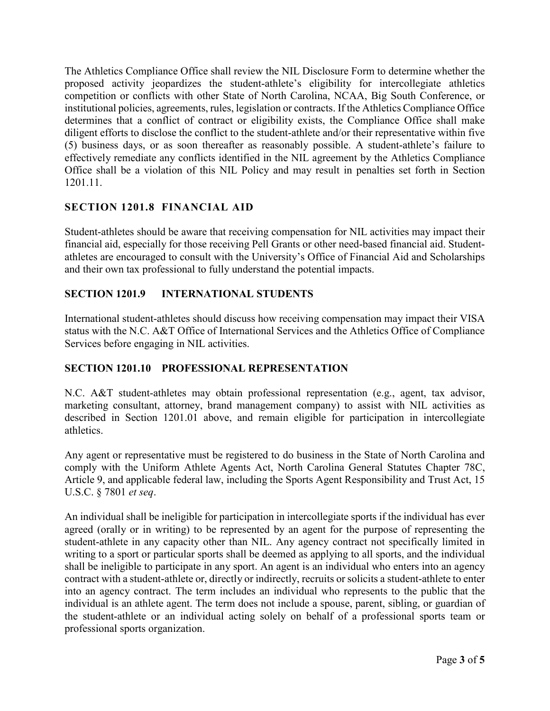The Athletics Compliance Office shall review the NIL Disclosure Form to determine whether the proposed activity jeopardizes the student-athlete's eligibility for intercollegiate athletics competition or conflicts with other State of North Carolina, NCAA, Big South Conference, or institutional policies, agreements, rules, legislation or contracts. If the Athletics Compliance Office determines that a conflict of contract or eligibility exists, the Compliance Office shall make diligent efforts to disclose the conflict to the student-athlete and/or their representative within five (5) business days, or as soon thereafter as reasonably possible. A student-athlete's failure to effectively remediate any conflicts identified in the NIL agreement by the Athletics Compliance Office shall be a violation of this NIL Policy and may result in penalties set forth in Section 1201.11.

# **SECTION 1201.8 FINANCIAL AID**

Student-athletes should be aware that receiving compensation for NIL activities may impact their financial aid, especially for those receiving Pell Grants or other need-based financial aid. Studentathletes are encouraged to consult with the University's Office of Financial Aid and Scholarships and their own tax professional to fully understand the potential impacts.

# **SECTION 1201.9 INTERNATIONAL STUDENTS**

International student-athletes should discuss how receiving compensation may impact their VISA status with the N.C. A&T Office of International Services and the Athletics Office of Compliance Services before engaging in NIL activities.

### **SECTION 1201.10 PROFESSIONAL REPRESENTATION**

N.C. A&T student-athletes may obtain professional representation (e.g., agent, tax advisor, marketing consultant, attorney, brand management company) to assist with NIL activities as described in Section 1201.01 above, and remain eligible for participation in intercollegiate athletics.

Any agent or representative must be registered to do business in the State of North Carolina and comply with the Uniform Athlete Agents Act, North Carolina General Statutes Chapter 78C, Article 9, and applicable federal law, including the Sports Agent Responsibility and Trust Act, 15 U.S.C. § 7801 *et seq*.

An individual shall be ineligible for participation in intercollegiate sports if the individual has ever agreed (orally or in writing) to be represented by an agent for the purpose of representing the student-athlete in any capacity other than NIL. Any agency contract not specifically limited in writing to a sport or particular sports shall be deemed as applying to all sports, and the individual shall be ineligible to participate in any sport. An agent is an individual who enters into an agency contract with a student-athlete or, directly or indirectly, recruits or solicits a student-athlete to enter into an agency contract. The term includes an individual who represents to the public that the individual is an athlete agent. The term does not include a spouse, parent, sibling, or guardian of the student-athlete or an individual acting solely on behalf of a professional sports team or professional sports organization.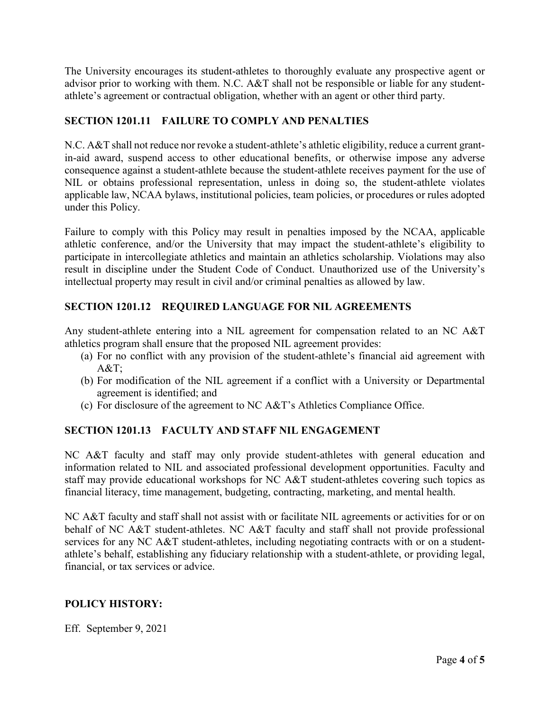The University encourages its student-athletes to thoroughly evaluate any prospective agent or advisor prior to working with them. N.C. A&T shall not be responsible or liable for any studentathlete's agreement or contractual obligation, whether with an agent or other third party.

## **SECTION 1201.11 FAILURE TO COMPLY AND PENALTIES**

N.C. A&T shall not reduce nor revoke a student-athlete's athletic eligibility, reduce a current grantin-aid award, suspend access to other educational benefits, or otherwise impose any adverse consequence against a student-athlete because the student-athlete receives payment for the use of NIL or obtains professional representation, unless in doing so, the student-athlete violates applicable law, NCAA bylaws, institutional policies, team policies, or procedures or rules adopted under this Policy.

Failure to comply with this Policy may result in penalties imposed by the NCAA, applicable athletic conference, and/or the University that may impact the student-athlete's eligibility to participate in intercollegiate athletics and maintain an athletics scholarship. Violations may also result in discipline under the Student Code of Conduct. Unauthorized use of the University's intellectual property may result in civil and/or criminal penalties as allowed by law.

# **SECTION 1201.12 REQUIRED LANGUAGE FOR NIL AGREEMENTS**

Any student-athlete entering into a NIL agreement for compensation related to an NC A&T athletics program shall ensure that the proposed NIL agreement provides:

- (a) For no conflict with any provision of the student-athlete's financial aid agreement with A&T;
- (b) For modification of the NIL agreement if a conflict with a University or Departmental agreement is identified; and
- (c) For disclosure of the agreement to NC A&T's Athletics Compliance Office.

### **SECTION 1201.13 FACULTY AND STAFF NIL ENGAGEMENT**

NC A&T faculty and staff may only provide student-athletes with general education and information related to NIL and associated professional development opportunities. Faculty and staff may provide educational workshops for NC A&T student-athletes covering such topics as financial literacy, time management, budgeting, contracting, marketing, and mental health.

NC A&T faculty and staff shall not assist with or facilitate NIL agreements or activities for or on behalf of NC A&T student-athletes. NC A&T faculty and staff shall not provide professional services for any NC A&T student-athletes, including negotiating contracts with or on a studentathlete's behalf, establishing any fiduciary relationship with a student-athlete, or providing legal, financial, or tax services or advice.

### **POLICY HISTORY:**

Eff. September 9, 2021